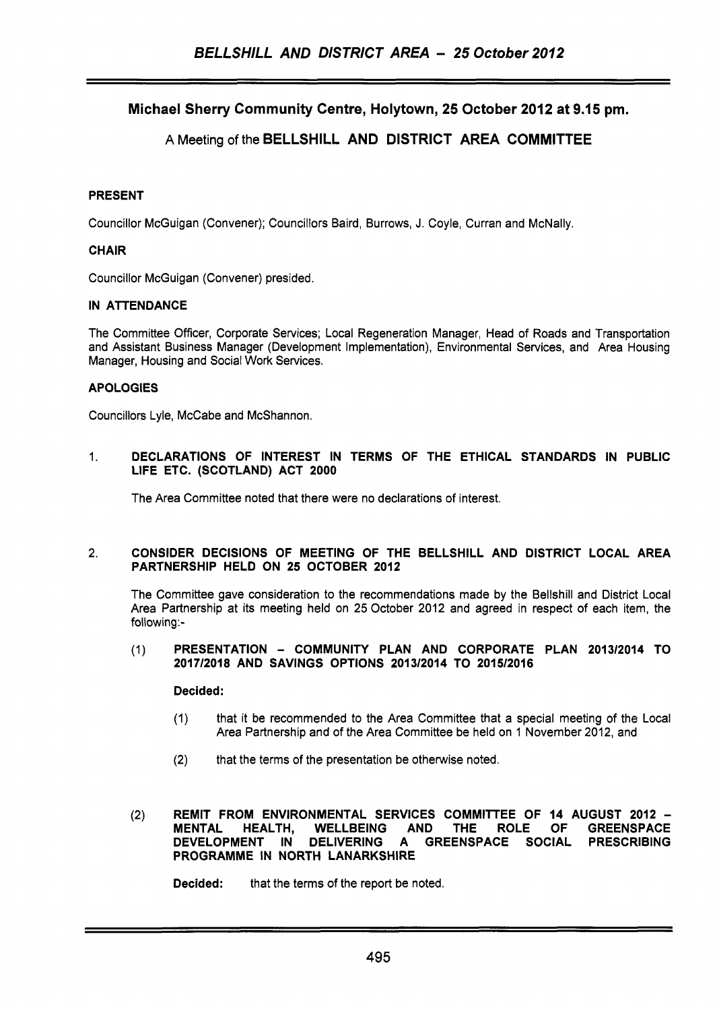Michael Sherry Community Centre, Holytown, 25 October 2012 at 9.15 pm.

# A Meeting of the BELLSHILL AND DISTRICT AREA COMMITTEE

# PRESENT

Councillor McGuigan (Convener); Councillors Baird, Burrows, J. Coyle, Curran and McNally.

### **CHAIR**

Councillor McGuigan (Convener) presided

# IN ATTENDANCE

The Committee Officer, Corporate Services; Local Regeneration Manager, Head of Roads and Transportation and Assistant Business Manager (Development Implementation), Environmental Services, and Area Housing Manager, Housing and Social Work Services.

# APOLOGIES

Councillors Lyle, McCabe and McShannon.

1. DECLARATIONS OF INTEREST IN TERMS OF THE ETHICAL STANDARDS IN PUBLIC LIFE ETC. (SCOTLAND) ACT **2000** 

The Area Committee noted that there were no declarations of interest.

### 2. CONSIDER DECISIONS OF MEETING OF THE BELLSHILL AND DISTRICT LOCAL AREA PARTNERSHIP HELD ON **25** OCTOBER **2012**

The Committee gave consideration to the recommendations made by the Bellshill and District Local Area Partnership at its meeting held on 25 October 2012 and agreed in respect of each item, the following:-

### (1) PRESENTATION - COMMUNITY PLAN AND CORPORATE PLAN **201312014** TO **2017/2018** AND SAVINGS OPTIONS **201312014** TO **2015/2016**

### Decided:

- (1) that it be recommended to the Area Committee that a special meeting of the Local Area Partnership and of the Area Committee be held on 1 November 2012, and
- (2) that the terms of the presentation be otherwise noted.
- (2) REMIT FROM ENVIRONMENTAL SERVICES COMMITTEE OF **14** AUGUST **2012**  WELLBEING AND THE ROLE OF GREENSPACE<br>DELIVERING A GREENSPACE SOCIAL PRESCRIBING DEVELOPMENT IN DELIVERING A GREENSPACE SOCIAL PRESCRIBING PROGRAMME IN NORTH LANARKSHIRE

**Decided:** that the terms of the report be noted.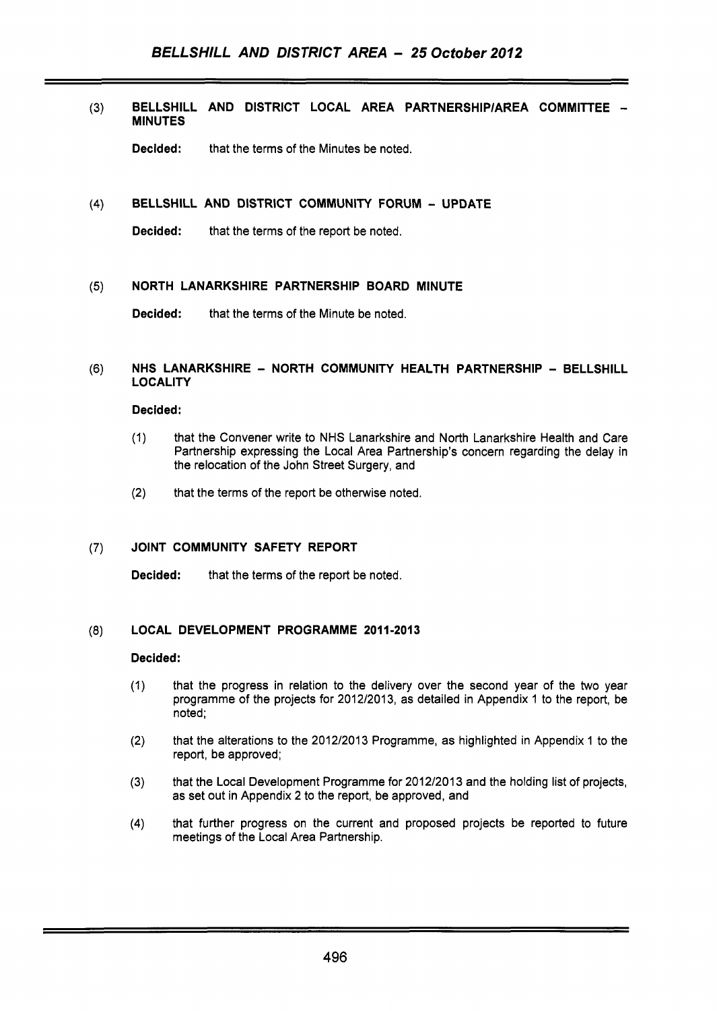#### **BELLSHILL AND DISTRICT LOCAL AREA PARTNERSHlPlAREA COMMllTEE** -  $(3)$ **MINUTES**

**Decided:** that the terms of the Minutes be noted.

#### $(4)$ **BELLSHILL AND DISTRICT COMMUNITY FORUM** - **UPDATE**

**Decided:** that the terms of the report be noted.

#### **NORTH LANARKSHIRE PARTNERSHIP BOARD MINUTE**   $(5)$

**Decided:** that the terms of the Minute be noted.

#### **NHS LANARKSHIRE** - **NORTH COMMUNITY HEALTH PARTNERSHIP** - **BELLSHILL**   $(6)$ **LOCALITY**

### **Decided:**

- (1) that the Convener write to NHS Lanarkshire and North Lanarkshire Health and Care Partnership expressing the Local Area Partnership's concern regarding the delay in the relocation of the John Street Surgery, and
- (2) that the terms of the report be otherwise noted.

#### **JOINT COMMUNITY SAFETY REPORT**   $(7)$

**Decided:** that the terms of the report be noted.

#### **LOCAL DEVELOPMENT PROGRAMME 2011-2013**   $(8)$

### **Decided:**

- (1) that the progress in relation to the delivery over the second year of the two year programme of the projects for 2012/2013, as detailed in Appendix 1 to the report, be noted;
- that the alterations to the 2012/2013 Programme, as highlighted in Appendix 1 to the report, be approved; (2)
- that the Local Development Programme for 201212013 and the holding list of projects, as set out in Appendix 2 to the report, be approved, and (3)
- that further progress on the current and proposed projects be reported to future meetings of the Local Area Partnership. **(4)**